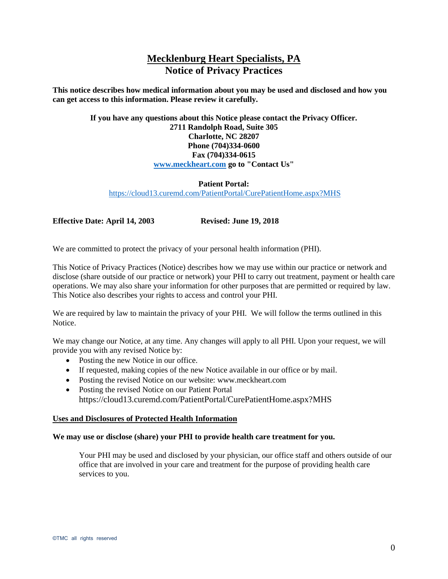# **Mecklenburg Heart Specialists, PA Notice of Privacy Practices**

**This notice describes how medical information about you may be used and disclosed and how you can get access to this information. Please review it carefully.** 

# **If you have any questions about this Notice please contact the Privacy Officer. 2711 Randolph Road, Suite 305 Charlotte, NC 28207 Phone (704)334-0600 Fax (704)334-0615 [www.meckheart.com](http://www.meckheart.com/) go to "Contact Us"**

## **Patient Portal:** <https://cloud13.curemd.com/PatientPortal/CurePatientHome.aspx?MHS>

**Effective Date: April 14, 2003 Revised: June 19, 2018**

We are committed to protect the privacy of your personal health information (PHI).

This Notice of Privacy Practices (Notice) describes how we may use within our practice or network and disclose (share outside of our practice or network) your PHI to carry out treatment, payment or health care operations. We may also share your information for other purposes that are permitted or required by law. This Notice also describes your rights to access and control your PHI.

We are required by law to maintain the privacy of your PHI. We will follow the terms outlined in this Notice.

We may change our Notice, at any time. Any changes will apply to all PHI. Upon your request, we will provide you with any revised Notice by:

- Posting the new Notice in our office.
- If requested, making copies of the new Notice available in our office or by mail.
- Posting the revised Notice on our website: www.meckheart.com
- Posting the revised Notice on our Patient Portal https://cloud13.curemd.com/PatientPortal/CurePatientHome.aspx?MHS

## **Uses and Disclosures of Protected Health Information**

#### **We may use or disclose (share) your PHI to provide health care treatment for you.**

Your PHI may be used and disclosed by your physician, our office staff and others outside of our office that are involved in your care and treatment for the purpose of providing health care services to you.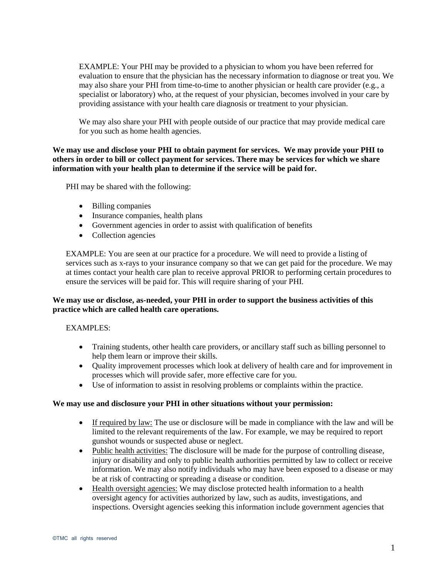EXAMPLE: Your PHI may be provided to a physician to whom you have been referred for evaluation to ensure that the physician has the necessary information to diagnose or treat you. We may also share your PHI from time-to-time to another physician or health care provider (e.g., a specialist or laboratory) who, at the request of your physician, becomes involved in your care by providing assistance with your health care diagnosis or treatment to your physician.

We may also share your PHI with people outside of our practice that may provide medical care for you such as home health agencies.

**We may use and disclose your PHI to obtain payment for services. We may provide your PHI to others in order to bill or collect payment for services. There may be services for which we share information with your health plan to determine if the service will be paid for.**

PHI may be shared with the following:

- Billing companies
- Insurance companies, health plans
- Government agencies in order to assist with qualification of benefits
- Collection agencies

EXAMPLE: You are seen at our practice for a procedure. We will need to provide a listing of services such as x-rays to your insurance company so that we can get paid for the procedure. We may at times contact your health care plan to receive approval PRIOR to performing certain procedures to ensure the services will be paid for. This will require sharing of your PHI.

## **We may use or disclose, as-needed, your PHI in order to support the business activities of this practice which are called health care operations.**

#### EXAMPLES:

- Training students, other health care providers, or ancillary staff such as billing personnel to help them learn or improve their skills.
- Quality improvement processes which look at delivery of health care and for improvement in processes which will provide safer, more effective care for you.
- Use of information to assist in resolving problems or complaints within the practice.

#### **We may use and disclosure your PHI in other situations without your permission:**

- If required by law: The use or disclosure will be made in compliance with the law and will be limited to the relevant requirements of the law. For example, we may be required to report gunshot wounds or suspected abuse or neglect.
- Public health activities: The disclosure will be made for the purpose of controlling disease, injury or disability and only to public health authorities permitted by law to collect or receive information. We may also notify individuals who may have been exposed to a disease or may be at risk of contracting or spreading a disease or condition.
- Health oversight agencies: We may disclose protected health information to a health oversight agency for activities authorized by law, such as audits, investigations, and inspections. Oversight agencies seeking this information include government agencies that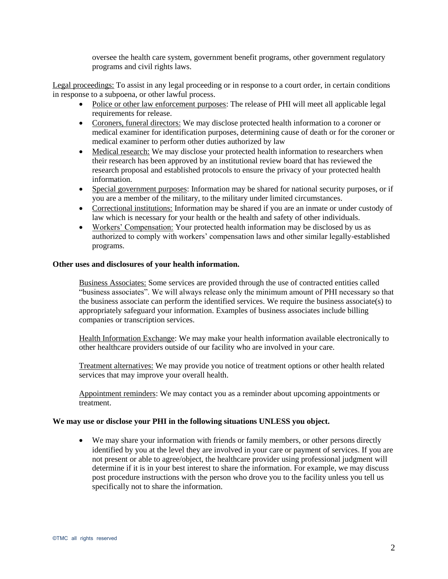oversee the health care system, government benefit programs, other government regulatory programs and civil rights laws.

Legal proceedings: To assist in any legal proceeding or in response to a court order, in certain conditions in response to a subpoena, or other lawful process.

- Police or other law enforcement purposes: The release of PHI will meet all applicable legal requirements for release.
- Coroners, funeral directors: We may disclose protected health information to a coroner or medical examiner for identification purposes, determining cause of death or for the coroner or medical examiner to perform other duties authorized by law
- Medical research: We may disclose your protected health information to researchers when their research has been approved by an institutional review board that has reviewed the research proposal and established protocols to ensure the privacy of your protected health information.
- Special government purposes: Information may be shared for national security purposes, or if you are a member of the military, to the military under limited circumstances.
- Correctional institutions: Information may be shared if you are an inmate or under custody of law which is necessary for your health or the health and safety of other individuals.
- Workers' Compensation: Your protected health information may be disclosed by us as authorized to comply with workers' compensation laws and other similar legally-established programs.

#### **Other uses and disclosures of your health information.**

Business Associates: Some services are provided through the use of contracted entities called "business associates". We will always release only the minimum amount of PHI necessary so that the business associate can perform the identified services. We require the business associate(s) to appropriately safeguard your information. Examples of business associates include billing companies or transcription services.

Health Information Exchange: We may make your health information available electronically to other healthcare providers outside of our facility who are involved in your care.

Treatment alternatives: We may provide you notice of treatment options or other health related services that may improve your overall health.

Appointment reminders: We may contact you as a reminder about upcoming appointments or treatment.

#### **We may use or disclose your PHI in the following situations UNLESS you object.**

 We may share your information with friends or family members, or other persons directly identified by you at the level they are involved in your care or payment of services. If you are not present or able to agree/object, the healthcare provider using professional judgment will determine if it is in your best interest to share the information. For example, we may discuss post procedure instructions with the person who drove you to the facility unless you tell us specifically not to share the information.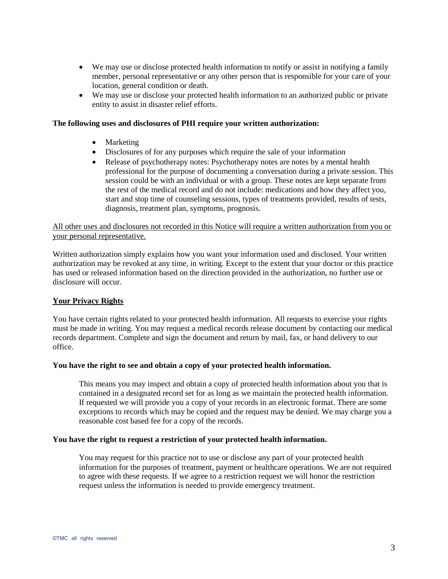- We may use or disclose protected health information to notify or assist in notifying a family member, personal representative or any other person that is responsible for your care of your location, general condition or death.
- We may use or disclose your protected health information to an authorized public or private entity to assist in disaster relief efforts.

#### **The following uses and disclosures of PHI require your written authorization:**

- Marketing
- Disclosures of for any purposes which require the sale of your information
- Release of psychotherapy notes: Psychotherapy notes are notes by a mental health professional for the purpose of documenting a conversation during a private session. This session could be with an individual or with a group. These notes are kept separate from the rest of the medical record and do not include: medications and how they affect you, start and stop time of counseling sessions, types of treatments provided, results of tests, diagnosis, treatment plan, symptoms, prognosis.

### All other uses and disclosures not recorded in this Notice will require a written authorization from you or your personal representative.

Written authorization simply explains how you want your information used and disclosed. Your written authorization may be revoked at any time, in writing. Except to the extent that your doctor or this practice has used or released information based on the direction provided in the authorization, no further use or disclosure will occur.

## **Your Privacy Rights**

You have certain rights related to your protected health information. All requests to exercise your rights must be made in writing. You may request a medical records release document by contacting our medical records department. Complete and sign the document and return by mail, fax, or hand delivery to our office.

#### **You have the right to see and obtain a copy of your protected health information.**

This means you may inspect and obtain a copy of protected health information about you that is contained in a designated record set for as long as we maintain the protected health information. If requested we will provide you a copy of your records in an electronic format. There are some exceptions to records which may be copied and the request may be denied. We may charge you a reasonable cost based fee for a copy of the records.

#### **You have the right to request a restriction of your protected health information.**

You may request for this practice not to use or disclose any part of your protected health information for the purposes of treatment, payment or healthcare operations. We are not required to agree with these requests. If we agree to a restriction request we will honor the restriction request unless the information is needed to provide emergency treatment.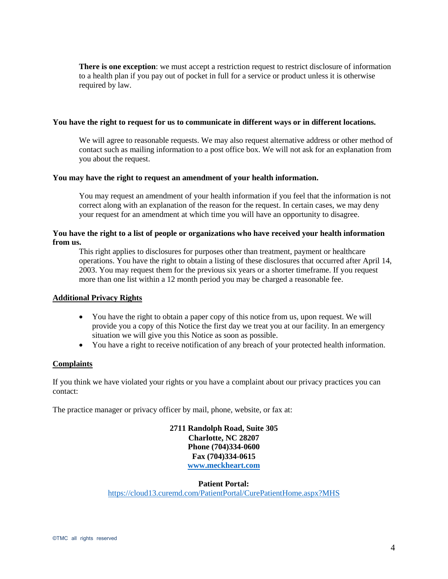**There is one exception**: we must accept a restriction request to restrict disclosure of information to a health plan if you pay out of pocket in full for a service or product unless it is otherwise required by law.

#### **You have the right to request for us to communicate in different ways or in different locations.**

We will agree to reasonable requests. We may also request alternative address or other method of contact such as mailing information to a post office box. We will not ask for an explanation from you about the request.

#### **You may have the right to request an amendment of your health information.**

You may request an amendment of your health information if you feel that the information is not correct along with an explanation of the reason for the request. In certain cases, we may deny your request for an amendment at which time you will have an opportunity to disagree.

## **You have the right to a list of people or organizations who have received your health information from us.**

This right applies to disclosures for purposes other than treatment, payment or healthcare operations. You have the right to obtain a listing of these disclosures that occurred after April 14, 2003. You may request them for the previous six years or a shorter timeframe. If you request more than one list within a 12 month period you may be charged a reasonable fee.

## **Additional Privacy Rights**

- You have the right to obtain a paper copy of this notice from us, upon request. We will provide you a copy of this Notice the first day we treat you at our facility. In an emergency situation we will give you this Notice as soon as possible.
- You have a right to receive notification of any breach of your protected health information.

## **Complaints**

If you think we have violated your rights or you have a complaint about our privacy practices you can contact:

The practice manager or privacy officer by mail, phone, website, or fax at:

**2711 Randolph Road, Suite 305 Charlotte, NC 28207 Phone (704)334-0600 Fax (704)334-0615 [www.meckheart.com](http://www.meckheart.com/)**

**Patient Portal:**

<https://cloud13.curemd.com/PatientPortal/CurePatientHome.aspx?MHS>